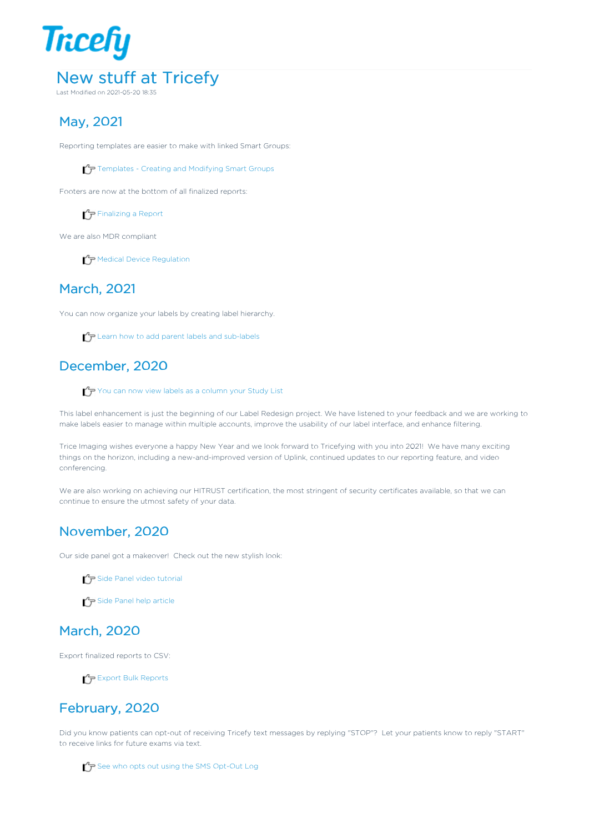

# May, 2021

Reporting templates are easier to make with linked Smart Groups:

 $T$  Templates - Creating and Modifying Smart Groups

Footers are now at the bottom of all finalized reports:

 $\sqrt{\overline{r}}$  Finalizing a Report

We are also MDR compliant

 $\mathcal{T}_{\overline{P}}$  Medical Device Regulation

### March, 2021

You can now organize your labels by creating label hierarchy.

 $\mathcal{T}_{\mathcal{T}}$  Learn how to add parent labels and sub-labels

# December, 2020

You can now view labels as a column your Study List

This label enhancement is just the beginning of our Label Redesign project. We have listened to your feedback and we are working to make labels easier to manage within multiple accounts, improve the usability of our label interface, and enhance filtering.

Trice Imaging wishes everyone a happy New Year and we look forward to Tricefying with you into 2021! We have many exciting things on the horizon, including a new-and-improved version of Uplink, continued updates to our reporting feature, and video conferencing.

We are also working on achieving our HITRUST certification, the most stringent of security certificates available, so that we can continue to ensure the utmost safety of your data.

# November, 2020

Our side panel got a makeover! Check out the new stylish look:

 $\mathcal{L}_{\mathcal{F}}$  Side Panel video tutorial

 $\mathcal{L}_{\mathcal{F}}$  Side Panel help article

# March, 2020

Export finalized reports to CSV:

Export Bulk Reports

# February, 2020

Did you know patients can opt-out of receiving Tricefy text messages by replying "STOP"? Let your patients know to reply "START" to receive links for future exams via text.

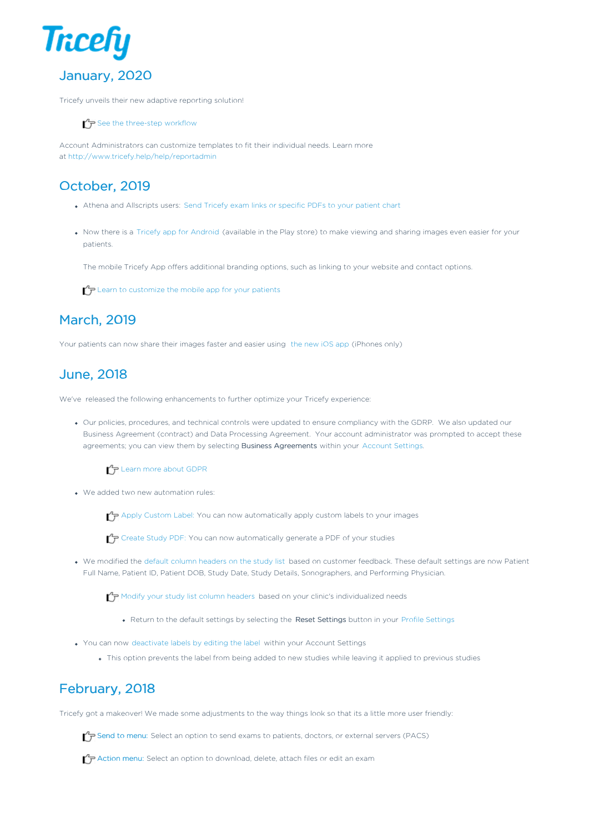

Tricefy unveils their new adaptive reporting solution!

 $\mathcal{L}_{\mathcal{F}}$  See the three-step workflow

Account Administrators can customize templates to fit their individual needs. Learn more at http://www.tricefy.help/help/reportadmin

# October, 2019

- Athena and Allscripts users: Send Tricefy exam links or specific PDFs to your patient chart
- Now there is a Tricefy app for Android (available in the Play store) to make viewing and sharing images even easier for your patients.

The mobile Tricefy App offers additional branding options, such as linking to your website and contact options.

 $\Gamma$  Learn to customize the mobile app for your patients

# March, 2019

Your patients can now share their images faster and easier using the new iOS app (iPhones only)

### June, 2018

We've released the following enhancements to further optimize your Tricefy experience:

Our policies, procedures, and technical controls were updated to ensure compliancy with the GDRP. We also updated our Business Agreement (contract) and Data Processing Agreement. Your account administrator was prompted to accept these agreements; you can view them by selecting Business Agreements within your Account Settings.

#### $\mathcal{L}_{\mathcal{F}}$  Learn more about GDPR

We added two new automation rules:

 $\uparrow$  Apply Custom Label: You can now automatically apply custom labels to your images

Create Study PDF: You can now automatically generate a PDF of your studies

We modified the default column headers on the study list based on customer feedback. These default settings are now Patient Full Name, Patient ID, Patient DOB, Study Date, Study Details, Sonographers, and Performing Physician.

Modify your study list column headers based on your clinic's individualized needs

- Return to the default settings by selecting the Reset Settings button in your Profile Settings
- You can now deactivate labels by editing the label within your Account Settings
	- This option prevents the label from being added to new studies while leaving it applied to previous studies

# February, 2018

Tricefy got a makeover! We made some adjustments to the way things look so that its a little more user friendly:

 $\sqrt{\phantom{a}}\tau$  Send to menu: Select an option to send exams to patients, doctors, or external servers (PACS)

 $\bigtriangledown$  Action menu: Select an option to download, delete, attach files or edit an exam